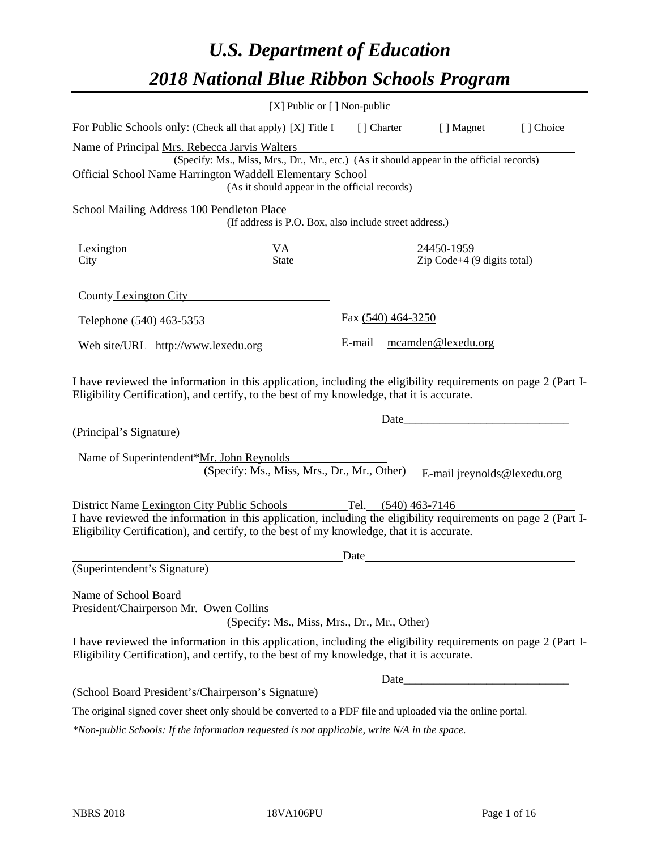# *U.S. Department of Education 2018 National Blue Ribbon Schools Program*

|                                                                                                                                                                                                              | [X] Public or [] Non-public                                                              |                           |                             |           |
|--------------------------------------------------------------------------------------------------------------------------------------------------------------------------------------------------------------|------------------------------------------------------------------------------------------|---------------------------|-----------------------------|-----------|
| For Public Schools only: (Check all that apply) [X] Title I [] Charter [] Magnet                                                                                                                             |                                                                                          |                           |                             | [] Choice |
| Name of Principal Mrs. Rebecca Jarvis Walters                                                                                                                                                                | (Specify: Ms., Miss, Mrs., Dr., Mr., etc.) (As it should appear in the official records) |                           |                             |           |
| Official School Name Harrington Waddell Elementary School                                                                                                                                                    |                                                                                          |                           |                             |           |
|                                                                                                                                                                                                              | (As it should appear in the official records)                                            |                           |                             |           |
| School Mailing Address 100 Pendleton Place                                                                                                                                                                   |                                                                                          |                           |                             |           |
|                                                                                                                                                                                                              | (If address is P.O. Box, also include street address.)                                   |                           |                             |           |
| Lexington                                                                                                                                                                                                    | $\frac{VA}{State}$ $\frac{24450-1959}{Zip Code+4 (9 digits total)}$                      |                           |                             |           |
| City                                                                                                                                                                                                         |                                                                                          |                           |                             |           |
| County Lexington City                                                                                                                                                                                        |                                                                                          |                           |                             |           |
| Telephone (540) 463-5353                                                                                                                                                                                     |                                                                                          | Fax (540) 464-3250        |                             |           |
| Web site/URL http://www.lexedu.org                                                                                                                                                                           |                                                                                          | E-mail mcamden@lexedu.org |                             |           |
| (Principal's Signature)<br>Name of Superintendent*Mr. John Reynolds                                                                                                                                          | (Specify: Ms., Miss, Mrs., Dr., Mr., Other)                                              | Date                      | E-mail jreynolds@lexedu.org |           |
| District Name Lexington City Public Schools                                                                                                                                                                  |                                                                                          | Tel. (540) 463-7146       |                             |           |
| I have reviewed the information in this application, including the eligibility requirements on page 2 (Part I-<br>Eligibility Certification), and certify, to the best of my knowledge, that it is accurate. |                                                                                          |                           |                             |           |
|                                                                                                                                                                                                              |                                                                                          | Date                      |                             |           |
| (Superintendent's Signature)                                                                                                                                                                                 |                                                                                          |                           |                             |           |
| Name of School Board<br>President/Chairperson Mr. Owen Collins                                                                                                                                               | (Specify: Ms., Miss, Mrs., Dr., Mr., Other)                                              |                           |                             |           |
| I have reviewed the information in this application, including the eligibility requirements on page 2 (Part I-<br>Eligibility Certification), and certify, to the best of my knowledge, that it is accurate. |                                                                                          |                           |                             |           |
|                                                                                                                                                                                                              |                                                                                          | Date                      |                             |           |
| (School Board President's/Chairperson's Signature)                                                                                                                                                           |                                                                                          |                           |                             |           |
| The original signed cover sheet only should be converted to a PDF file and uploaded via the online portal.                                                                                                   |                                                                                          |                           |                             |           |

*\*Non-public Schools: If the information requested is not applicable, write N/A in the space.*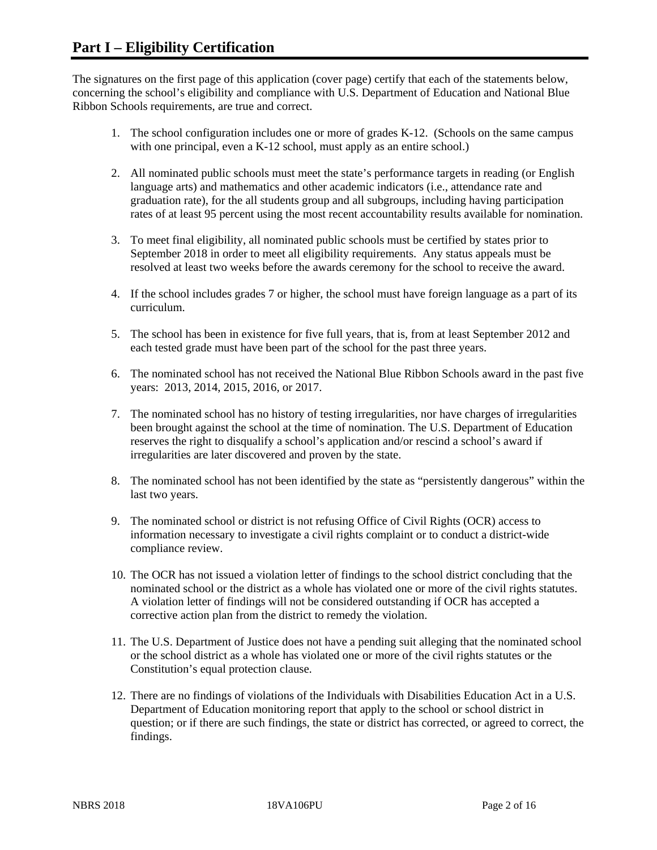The signatures on the first page of this application (cover page) certify that each of the statements below, concerning the school's eligibility and compliance with U.S. Department of Education and National Blue Ribbon Schools requirements, are true and correct.

- 1. The school configuration includes one or more of grades K-12. (Schools on the same campus with one principal, even a K-12 school, must apply as an entire school.)
- 2. All nominated public schools must meet the state's performance targets in reading (or English language arts) and mathematics and other academic indicators (i.e., attendance rate and graduation rate), for the all students group and all subgroups, including having participation rates of at least 95 percent using the most recent accountability results available for nomination.
- 3. To meet final eligibility, all nominated public schools must be certified by states prior to September 2018 in order to meet all eligibility requirements. Any status appeals must be resolved at least two weeks before the awards ceremony for the school to receive the award.
- 4. If the school includes grades 7 or higher, the school must have foreign language as a part of its curriculum.
- 5. The school has been in existence for five full years, that is, from at least September 2012 and each tested grade must have been part of the school for the past three years.
- 6. The nominated school has not received the National Blue Ribbon Schools award in the past five years: 2013, 2014, 2015, 2016, or 2017.
- 7. The nominated school has no history of testing irregularities, nor have charges of irregularities been brought against the school at the time of nomination. The U.S. Department of Education reserves the right to disqualify a school's application and/or rescind a school's award if irregularities are later discovered and proven by the state.
- 8. The nominated school has not been identified by the state as "persistently dangerous" within the last two years.
- 9. The nominated school or district is not refusing Office of Civil Rights (OCR) access to information necessary to investigate a civil rights complaint or to conduct a district-wide compliance review.
- 10. The OCR has not issued a violation letter of findings to the school district concluding that the nominated school or the district as a whole has violated one or more of the civil rights statutes. A violation letter of findings will not be considered outstanding if OCR has accepted a corrective action plan from the district to remedy the violation.
- 11. The U.S. Department of Justice does not have a pending suit alleging that the nominated school or the school district as a whole has violated one or more of the civil rights statutes or the Constitution's equal protection clause.
- 12. There are no findings of violations of the Individuals with Disabilities Education Act in a U.S. Department of Education monitoring report that apply to the school or school district in question; or if there are such findings, the state or district has corrected, or agreed to correct, the findings.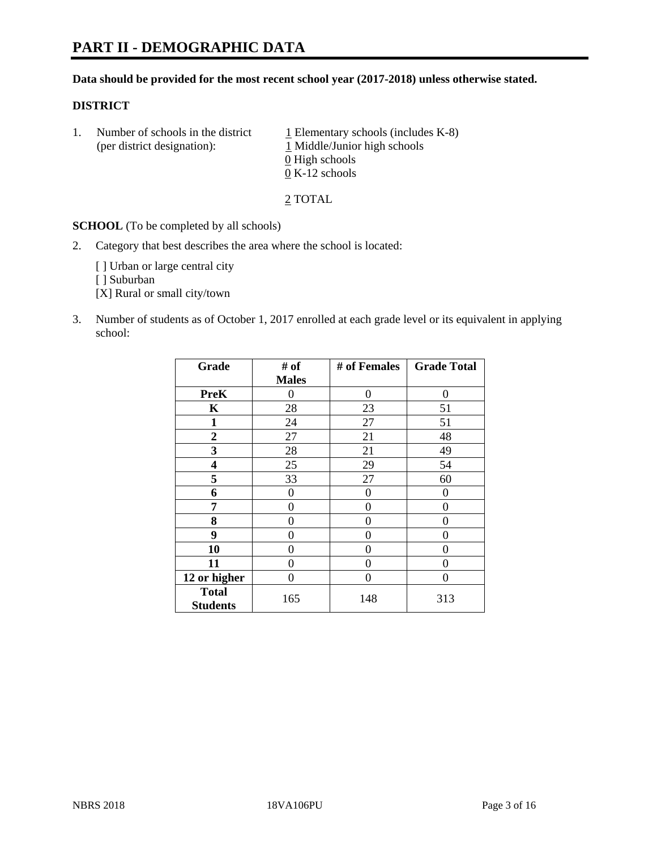# **PART II - DEMOGRAPHIC DATA**

#### **Data should be provided for the most recent school year (2017-2018) unless otherwise stated.**

#### **DISTRICT**

1. Number of schools in the district  $1$  Elementary schools (includes K-8) (per district designation): 1 Middle/Junior high schools 0 High schools 0 K-12 schools

2 TOTAL

**SCHOOL** (To be completed by all schools)

2. Category that best describes the area where the school is located:

[] Urban or large central city

[ ] Suburban

[X] Rural or small city/town

3. Number of students as of October 1, 2017 enrolled at each grade level or its equivalent in applying school:

| Grade                           | # of         | # of Females   | <b>Grade Total</b> |
|---------------------------------|--------------|----------------|--------------------|
|                                 | <b>Males</b> |                |                    |
| <b>PreK</b>                     | 0            | $\overline{0}$ | 0                  |
| $\mathbf K$                     | 28           | 23             | 51                 |
| 1                               | 24           | 27             | 51                 |
| $\overline{2}$                  | 27           | 21             | 48                 |
| 3                               | 28           | 21             | 49                 |
| 4                               | 25           | 29             | 54                 |
| 5                               | 33           | 27             | 60                 |
| 6                               | 0            | $\theta$       | 0                  |
| 7                               | 0            | $\theta$       | 0                  |
| 8                               | 0            | $\theta$       | 0                  |
| 9                               | 0            | 0              | 0                  |
| 10                              | 0            | 0              | 0                  |
| 11                              | 0            | 0              | 0                  |
| 12 or higher                    | 0            | 0              | 0                  |
| <b>Total</b><br><b>Students</b> | 165          | 148            | 313                |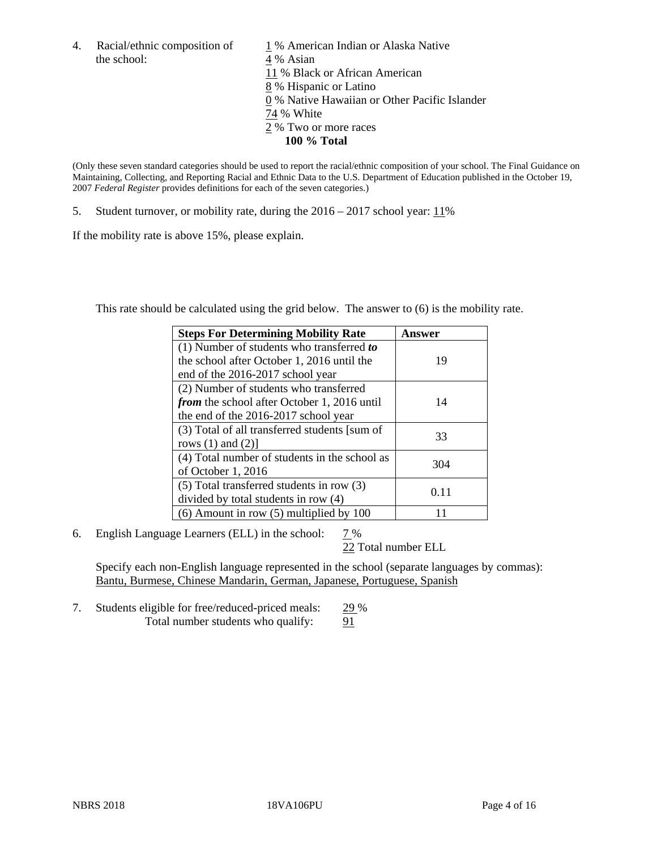the school: 4 % Asian

4. Racial/ethnic composition of  $1\%$  American Indian or Alaska Native 11 % Black or African American 8 % Hispanic or Latino 0 % Native Hawaiian or Other Pacific Islander 74 % White 2 % Two or more races **100 % Total**

(Only these seven standard categories should be used to report the racial/ethnic composition of your school. The Final Guidance on Maintaining, Collecting, and Reporting Racial and Ethnic Data to the U.S. Department of Education published in the October 19, 2007 *Federal Register* provides definitions for each of the seven categories.)

5. Student turnover, or mobility rate, during the 2016 – 2017 school year: 11%

If the mobility rate is above 15%, please explain.

This rate should be calculated using the grid below. The answer to (6) is the mobility rate.

| <b>Steps For Determining Mobility Rate</b>         | Answer |
|----------------------------------------------------|--------|
| $(1)$ Number of students who transferred to        |        |
| the school after October 1, 2016 until the         | 19     |
| end of the 2016-2017 school year                   |        |
| (2) Number of students who transferred             |        |
| <i>from</i> the school after October 1, 2016 until | 14     |
| the end of the 2016-2017 school year               |        |
| (3) Total of all transferred students [sum of      | 33     |
| rows $(1)$ and $(2)$ ]                             |        |
| (4) Total number of students in the school as      | 304    |
| of October 1, 2016                                 |        |
| (5) Total transferred students in row (3)          |        |
| divided by total students in row (4)               | 0.11   |
| $(6)$ Amount in row $(5)$ multiplied by 100        |        |

6. English Language Learners (ELL) in the school:  $7\%$ 

22 Total number ELL

Specify each non-English language represented in the school (separate languages by commas): Bantu, Burmese, Chinese Mandarin, German, Japanese, Portuguese, Spanish

7. Students eligible for free/reduced-priced meals: 29 % Total number students who qualify: 91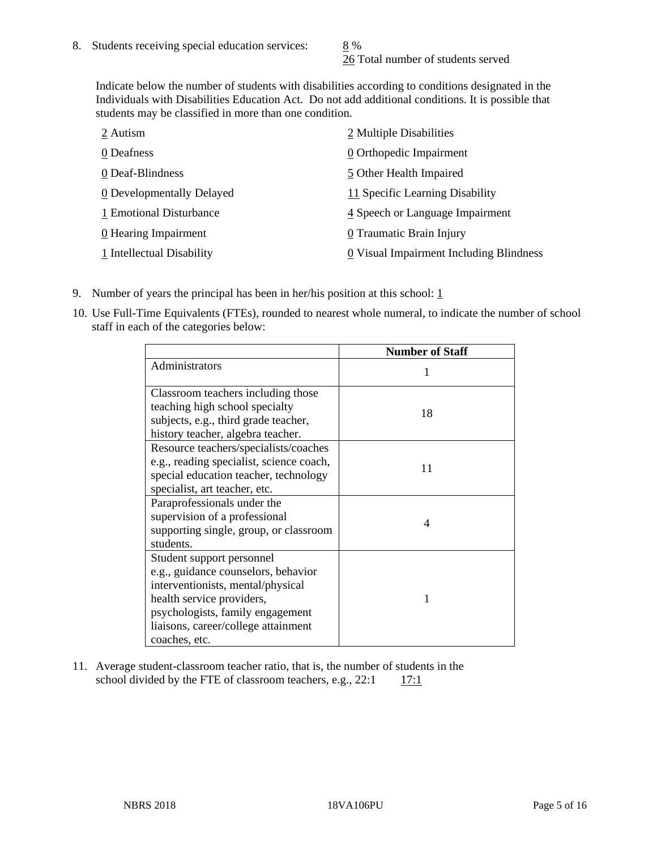26 Total number of students served

Indicate below the number of students with disabilities according to conditions designated in the Individuals with Disabilities Education Act. Do not add additional conditions. It is possible that students may be classified in more than one condition.

| 2 Autism                           | 2 Multiple Disabilities                 |
|------------------------------------|-----------------------------------------|
| 0 Deafness                         | 0 Orthopedic Impairment                 |
| 0 Deaf-Blindness                   | 5 Other Health Impaired                 |
| 0 Developmentally Delayed          | 11 Specific Learning Disability         |
| 1 Emotional Disturbance            | 4 Speech or Language Impairment         |
| $\underline{0}$ Hearing Impairment | 0 Traumatic Brain Injury                |
| 1 Intellectual Disability          | 0 Visual Impairment Including Blindness |

- 9. Number of years the principal has been in her/his position at this school:  $1$
- 10. Use Full-Time Equivalents (FTEs), rounded to nearest whole numeral, to indicate the number of school staff in each of the categories below:

|                                                                        | <b>Number of Staff</b> |
|------------------------------------------------------------------------|------------------------|
| Administrators                                                         |                        |
| Classroom teachers including those                                     |                        |
| teaching high school specialty<br>subjects, e.g., third grade teacher, | 18                     |
| history teacher, algebra teacher.                                      |                        |
| Resource teachers/specialists/coaches                                  |                        |
| e.g., reading specialist, science coach,                               | 11                     |
| special education teacher, technology<br>specialist, art teacher, etc. |                        |
| Paraprofessionals under the                                            |                        |
| supervision of a professional                                          | 4                      |
| supporting single, group, or classroom                                 |                        |
| students.                                                              |                        |
| Student support personnel                                              |                        |
| e.g., guidance counselors, behavior                                    |                        |
| interventionists, mental/physical                                      |                        |
| health service providers,                                              |                        |
| psychologists, family engagement                                       |                        |
| liaisons, career/college attainment                                    |                        |
| coaches, etc.                                                          |                        |

11. Average student-classroom teacher ratio, that is, the number of students in the school divided by the FTE of classroom teachers, e.g.,  $22:1$  17:1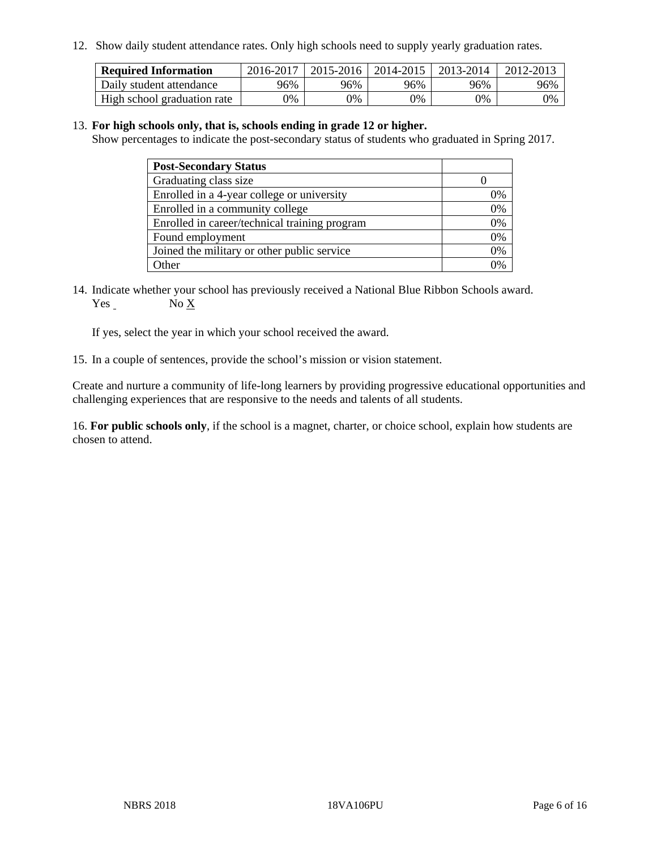12. Show daily student attendance rates. Only high schools need to supply yearly graduation rates.

| <b>Required Information</b> | 2016-2017 | 2015-2016 | 2014-2015 | 2013-2014 | 2012-2013 |
|-----------------------------|-----------|-----------|-----------|-----------|-----------|
| Daily student attendance    | 96%       | 96%       | 96%       | 96%       | 96%       |
| High school graduation rate | 0%        | 0%        | 0%        | 0%        | 0%        |

#### 13. **For high schools only, that is, schools ending in grade 12 or higher.**

Show percentages to indicate the post-secondary status of students who graduated in Spring 2017.

| <b>Post-Secondary Status</b>                  |    |
|-----------------------------------------------|----|
| Graduating class size                         |    |
| Enrolled in a 4-year college or university    | 0% |
| Enrolled in a community college               | 0% |
| Enrolled in career/technical training program | 0% |
| Found employment                              | 0% |
| Joined the military or other public service   | 0% |
| Other                                         |    |

14. Indicate whether your school has previously received a National Blue Ribbon Schools award. Yes No X

If yes, select the year in which your school received the award.

15. In a couple of sentences, provide the school's mission or vision statement.

Create and nurture a community of life-long learners by providing progressive educational opportunities and challenging experiences that are responsive to the needs and talents of all students.

16. **For public schools only**, if the school is a magnet, charter, or choice school, explain how students are chosen to attend.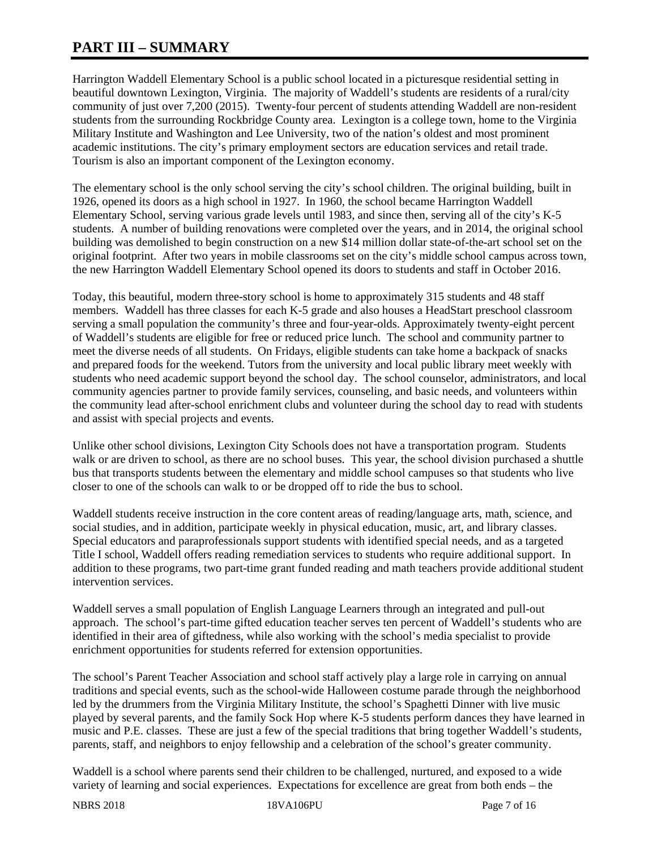# **PART III – SUMMARY**

Harrington Waddell Elementary School is a public school located in a picturesque residential setting in beautiful downtown Lexington, Virginia. The majority of Waddell's students are residents of a rural/city community of just over 7,200 (2015). Twenty-four percent of students attending Waddell are non-resident students from the surrounding Rockbridge County area. Lexington is a college town, home to the Virginia Military Institute and Washington and Lee University, two of the nation's oldest and most prominent academic institutions. The city's primary employment sectors are education services and retail trade. Tourism is also an important component of the Lexington economy.

The elementary school is the only school serving the city's school children. The original building, built in 1926, opened its doors as a high school in 1927. In 1960, the school became Harrington Waddell Elementary School, serving various grade levels until 1983, and since then, serving all of the city's K-5 students. A number of building renovations were completed over the years, and in 2014, the original school building was demolished to begin construction on a new \$14 million dollar state-of-the-art school set on the original footprint. After two years in mobile classrooms set on the city's middle school campus across town, the new Harrington Waddell Elementary School opened its doors to students and staff in October 2016.

Today, this beautiful, modern three-story school is home to approximately 315 students and 48 staff members. Waddell has three classes for each K-5 grade and also houses a HeadStart preschool classroom serving a small population the community's three and four-year-olds. Approximately twenty-eight percent of Waddell's students are eligible for free or reduced price lunch. The school and community partner to meet the diverse needs of all students. On Fridays, eligible students can take home a backpack of snacks and prepared foods for the weekend. Tutors from the university and local public library meet weekly with students who need academic support beyond the school day. The school counselor, administrators, and local community agencies partner to provide family services, counseling, and basic needs, and volunteers within the community lead after-school enrichment clubs and volunteer during the school day to read with students and assist with special projects and events.

Unlike other school divisions, Lexington City Schools does not have a transportation program. Students walk or are driven to school, as there are no school buses. This year, the school division purchased a shuttle bus that transports students between the elementary and middle school campuses so that students who live closer to one of the schools can walk to or be dropped off to ride the bus to school.

Waddell students receive instruction in the core content areas of reading/language arts, math, science, and social studies, and in addition, participate weekly in physical education, music, art, and library classes. Special educators and paraprofessionals support students with identified special needs, and as a targeted Title I school, Waddell offers reading remediation services to students who require additional support. In addition to these programs, two part-time grant funded reading and math teachers provide additional student intervention services.

Waddell serves a small population of English Language Learners through an integrated and pull-out approach. The school's part-time gifted education teacher serves ten percent of Waddell's students who are identified in their area of giftedness, while also working with the school's media specialist to provide enrichment opportunities for students referred for extension opportunities.

The school's Parent Teacher Association and school staff actively play a large role in carrying on annual traditions and special events, such as the school-wide Halloween costume parade through the neighborhood led by the drummers from the Virginia Military Institute, the school's Spaghetti Dinner with live music played by several parents, and the family Sock Hop where K-5 students perform dances they have learned in music and P.E. classes. These are just a few of the special traditions that bring together Waddell's students, parents, staff, and neighbors to enjoy fellowship and a celebration of the school's greater community.

Waddell is a school where parents send their children to be challenged, nurtured, and exposed to a wide variety of learning and social experiences. Expectations for excellence are great from both ends – the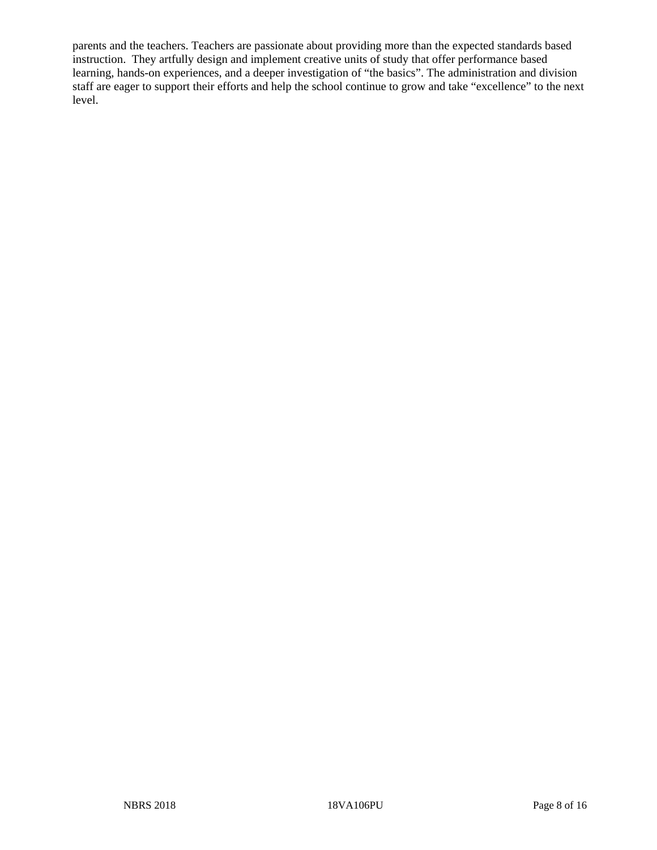parents and the teachers. Teachers are passionate about providing more than the expected standards based instruction. They artfully design and implement creative units of study that offer performance based learning, hands-on experiences, and a deeper investigation of "the basics". The administration and division staff are eager to support their efforts and help the school continue to grow and take "excellence" to the next level.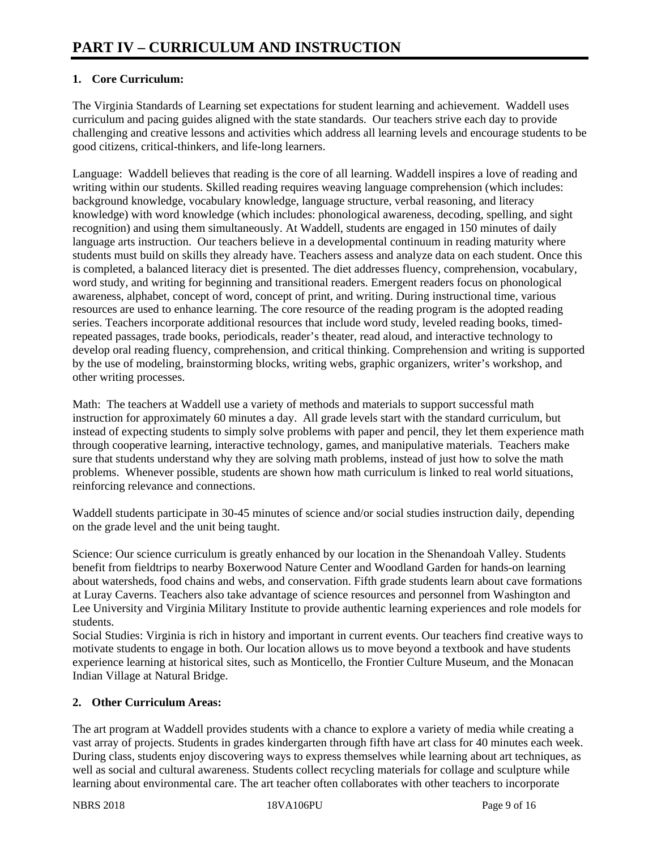# **1. Core Curriculum:**

The Virginia Standards of Learning set expectations for student learning and achievement. Waddell uses curriculum and pacing guides aligned with the state standards. Our teachers strive each day to provide challenging and creative lessons and activities which address all learning levels and encourage students to be good citizens, critical-thinkers, and life-long learners.

Language: Waddell believes that reading is the core of all learning. Waddell inspires a love of reading and writing within our students. Skilled reading requires weaving language comprehension (which includes: background knowledge, vocabulary knowledge, language structure, verbal reasoning, and literacy knowledge) with word knowledge (which includes: phonological awareness, decoding, spelling, and sight recognition) and using them simultaneously. At Waddell, students are engaged in 150 minutes of daily language arts instruction. Our teachers believe in a developmental continuum in reading maturity where students must build on skills they already have. Teachers assess and analyze data on each student. Once this is completed, a balanced literacy diet is presented. The diet addresses fluency, comprehension, vocabulary, word study, and writing for beginning and transitional readers. Emergent readers focus on phonological awareness, alphabet, concept of word, concept of print, and writing. During instructional time, various resources are used to enhance learning. The core resource of the reading program is the adopted reading series. Teachers incorporate additional resources that include word study, leveled reading books, timedrepeated passages, trade books, periodicals, reader's theater, read aloud, and interactive technology to develop oral reading fluency, comprehension, and critical thinking. Comprehension and writing is supported by the use of modeling, brainstorming blocks, writing webs, graphic organizers, writer's workshop, and other writing processes.

Math: The teachers at Waddell use a variety of methods and materials to support successful math instruction for approximately 60 minutes a day. All grade levels start with the standard curriculum, but instead of expecting students to simply solve problems with paper and pencil, they let them experience math through cooperative learning, interactive technology, games, and manipulative materials. Teachers make sure that students understand why they are solving math problems, instead of just how to solve the math problems. Whenever possible, students are shown how math curriculum is linked to real world situations, reinforcing relevance and connections.

Waddell students participate in 30-45 minutes of science and/or social studies instruction daily, depending on the grade level and the unit being taught.

Science: Our science curriculum is greatly enhanced by our location in the Shenandoah Valley. Students benefit from fieldtrips to nearby Boxerwood Nature Center and Woodland Garden for hands-on learning about watersheds, food chains and webs, and conservation. Fifth grade students learn about cave formations at Luray Caverns. Teachers also take advantage of science resources and personnel from Washington and Lee University and Virginia Military Institute to provide authentic learning experiences and role models for students.

Social Studies: Virginia is rich in history and important in current events. Our teachers find creative ways to motivate students to engage in both. Our location allows us to move beyond a textbook and have students experience learning at historical sites, such as Monticello, the Frontier Culture Museum, and the Monacan Indian Village at Natural Bridge.

# **2. Other Curriculum Areas:**

The art program at Waddell provides students with a chance to explore a variety of media while creating a vast array of projects. Students in grades kindergarten through fifth have art class for 40 minutes each week. During class, students enjoy discovering ways to express themselves while learning about art techniques, as well as social and cultural awareness. Students collect recycling materials for collage and sculpture while learning about environmental care. The art teacher often collaborates with other teachers to incorporate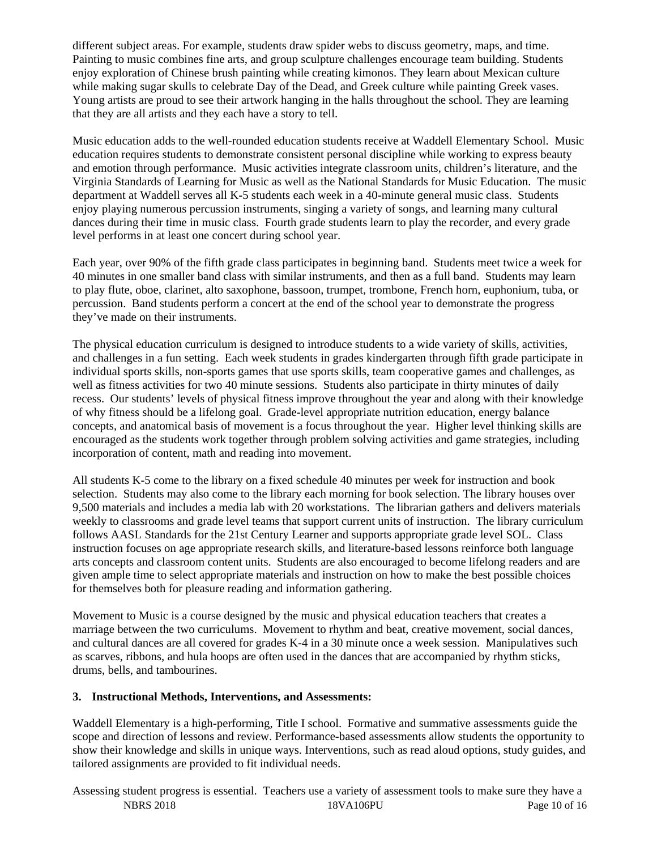different subject areas. For example, students draw spider webs to discuss geometry, maps, and time. Painting to music combines fine arts, and group sculpture challenges encourage team building. Students enjoy exploration of Chinese brush painting while creating kimonos. They learn about Mexican culture while making sugar skulls to celebrate Day of the Dead, and Greek culture while painting Greek vases. Young artists are proud to see their artwork hanging in the halls throughout the school. They are learning that they are all artists and they each have a story to tell.

Music education adds to the well-rounded education students receive at Waddell Elementary School. Music education requires students to demonstrate consistent personal discipline while working to express beauty and emotion through performance. Music activities integrate classroom units, children's literature, and the Virginia Standards of Learning for Music as well as the National Standards for Music Education. The music department at Waddell serves all K-5 students each week in a 40-minute general music class. Students enjoy playing numerous percussion instruments, singing a variety of songs, and learning many cultural dances during their time in music class. Fourth grade students learn to play the recorder, and every grade level performs in at least one concert during school year.

Each year, over 90% of the fifth grade class participates in beginning band. Students meet twice a week for 40 minutes in one smaller band class with similar instruments, and then as a full band. Students may learn to play flute, oboe, clarinet, alto saxophone, bassoon, trumpet, trombone, French horn, euphonium, tuba, or percussion. Band students perform a concert at the end of the school year to demonstrate the progress they've made on their instruments.

The physical education curriculum is designed to introduce students to a wide variety of skills, activities, and challenges in a fun setting. Each week students in grades kindergarten through fifth grade participate in individual sports skills, non-sports games that use sports skills, team cooperative games and challenges, as well as fitness activities for two 40 minute sessions. Students also participate in thirty minutes of daily recess. Our students' levels of physical fitness improve throughout the year and along with their knowledge of why fitness should be a lifelong goal. Grade-level appropriate nutrition education, energy balance concepts, and anatomical basis of movement is a focus throughout the year. Higher level thinking skills are encouraged as the students work together through problem solving activities and game strategies, including incorporation of content, math and reading into movement.

All students K-5 come to the library on a fixed schedule 40 minutes per week for instruction and book selection. Students may also come to the library each morning for book selection. The library houses over 9,500 materials and includes a media lab with 20 workstations. The librarian gathers and delivers materials weekly to classrooms and grade level teams that support current units of instruction. The library curriculum follows AASL Standards for the 21st Century Learner and supports appropriate grade level SOL. Class instruction focuses on age appropriate research skills, and literature-based lessons reinforce both language arts concepts and classroom content units. Students are also encouraged to become lifelong readers and are given ample time to select appropriate materials and instruction on how to make the best possible choices for themselves both for pleasure reading and information gathering.

Movement to Music is a course designed by the music and physical education teachers that creates a marriage between the two curriculums. Movement to rhythm and beat, creative movement, social dances, and cultural dances are all covered for grades K-4 in a 30 minute once a week session. Manipulatives such as scarves, ribbons, and hula hoops are often used in the dances that are accompanied by rhythm sticks, drums, bells, and tambourines.

## **3. Instructional Methods, Interventions, and Assessments:**

Waddell Elementary is a high-performing, Title I school. Formative and summative assessments guide the scope and direction of lessons and review. Performance-based assessments allow students the opportunity to show their knowledge and skills in unique ways. Interventions, such as read aloud options, study guides, and tailored assignments are provided to fit individual needs.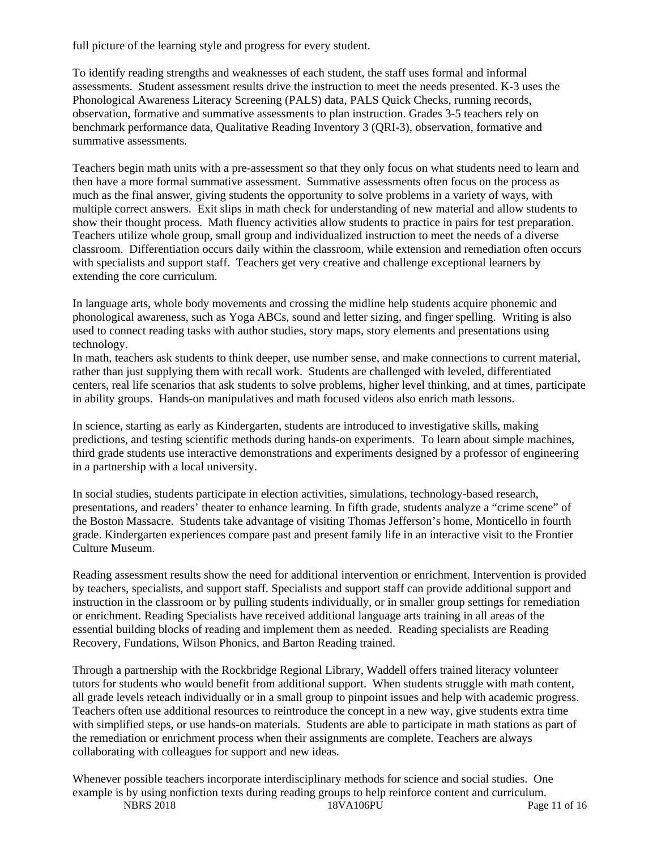full picture of the learning style and progress for every student.

To identify reading strengths and weaknesses of each student, the staff uses formal and informal assessments. Student assessment results drive the instruction to meet the needs presented. K-3 uses the Phonological Awareness Literacy Screening (PALS) data, PALS Quick Checks, running records, observation, formative and summative assessments to plan instruction. Grades 3-5 teachers rely on benchmark performance data, Qualitative Reading Inventory 3 (QRI-3), observation, formative and summative assessments.

Teachers begin math units with a pre-assessment so that they only focus on what students need to learn and then have a more formal summative assessment. Summative assessments often focus on the process as much as the final answer, giving students the opportunity to solve problems in a variety of ways, with multiple correct answers. Exit slips in math check for understanding of new material and allow students to show their thought process. Math fluency activities allow students to practice in pairs for test preparation. Teachers utilize whole group, small group and individualized instruction to meet the needs of a diverse classroom. Differentiation occurs daily within the classroom, while extension and remediation often occurs with specialists and support staff. Teachers get very creative and challenge exceptional learners by extending the core curriculum.

In language arts, whole body movements and crossing the midline help students acquire phonemic and phonological awareness, such as Yoga ABCs, sound and letter sizing, and finger spelling. Writing is also used to connect reading tasks with author studies, story maps, story elements and presentations using technology.

In math, teachers ask students to think deeper, use number sense, and make connections to current material, rather than just supplying them with recall work. Students are challenged with leveled, differentiated centers, real life scenarios that ask students to solve problems, higher level thinking, and at times, participate in ability groups. Hands-on manipulatives and math focused videos also enrich math lessons.

In science, starting as early as Kindergarten, students are introduced to investigative skills, making predictions, and testing scientific methods during hands-on experiments. To learn about simple machines, third grade students use interactive demonstrations and experiments designed by a professor of engineering in a partnership with a local university.

In social studies, students participate in election activities, simulations, technology-based research, presentations, and readers' theater to enhance learning. In fifth grade, students analyze a "crime scene" of the Boston Massacre. Students take advantage of visiting Thomas Jefferson's home, Monticello in fourth grade. Kindergarten experiences compare past and present family life in an interactive visit to the Frontier Culture Museum.

Reading assessment results show the need for additional intervention or enrichment. Intervention is provided by teachers, specialists, and support staff. Specialists and support staff can provide additional support and instruction in the classroom or by pulling students individually, or in smaller group settings for remediation or enrichment. Reading Specialists have received additional language arts training in all areas of the essential building blocks of reading and implement them as needed. Reading specialists are Reading Recovery, Fundations, Wilson Phonics, and Barton Reading trained.

Through a partnership with the Rockbridge Regional Library, Waddell offers trained literacy volunteer tutors for students who would benefit from additional support. When students struggle with math content, all grade levels reteach individually or in a small group to pinpoint issues and help with academic progress. Teachers often use additional resources to reintroduce the concept in a new way, give students extra time with simplified steps, or use hands-on materials. Students are able to participate in math stations as part of the remediation or enrichment process when their assignments are complete. Teachers are always collaborating with colleagues for support and new ideas.

NBRS 2018 18VA106PU Page 11 of 16 Whenever possible teachers incorporate interdisciplinary methods for science and social studies. One example is by using nonfiction texts during reading groups to help reinforce content and curriculum.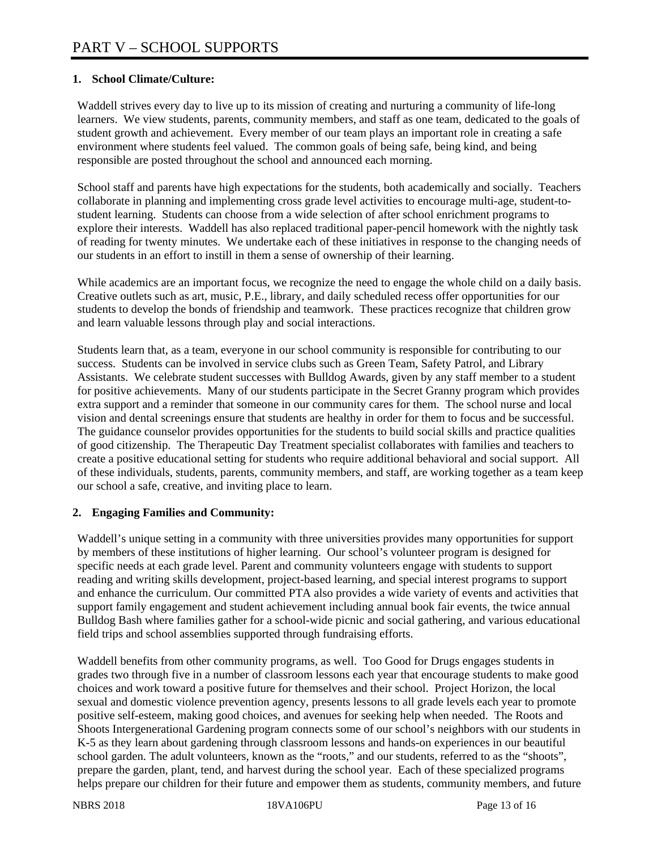## **1. School Climate/Culture:**

Waddell strives every day to live up to its mission of creating and nurturing a community of life-long learners. We view students, parents, community members, and staff as one team, dedicated to the goals of student growth and achievement. Every member of our team plays an important role in creating a safe environment where students feel valued. The common goals of being safe, being kind, and being responsible are posted throughout the school and announced each morning.

School staff and parents have high expectations for the students, both academically and socially. Teachers collaborate in planning and implementing cross grade level activities to encourage multi-age, student-tostudent learning. Students can choose from a wide selection of after school enrichment programs to explore their interests. Waddell has also replaced traditional paper-pencil homework with the nightly task of reading for twenty minutes. We undertake each of these initiatives in response to the changing needs of our students in an effort to instill in them a sense of ownership of their learning.

While academics are an important focus, we recognize the need to engage the whole child on a daily basis. Creative outlets such as art, music, P.E., library, and daily scheduled recess offer opportunities for our students to develop the bonds of friendship and teamwork. These practices recognize that children grow and learn valuable lessons through play and social interactions.

Students learn that, as a team, everyone in our school community is responsible for contributing to our success. Students can be involved in service clubs such as Green Team, Safety Patrol, and Library Assistants. We celebrate student successes with Bulldog Awards, given by any staff member to a student for positive achievements. Many of our students participate in the Secret Granny program which provides extra support and a reminder that someone in our community cares for them. The school nurse and local vision and dental screenings ensure that students are healthy in order for them to focus and be successful. The guidance counselor provides opportunities for the students to build social skills and practice qualities of good citizenship. The Therapeutic Day Treatment specialist collaborates with families and teachers to create a positive educational setting for students who require additional behavioral and social support. All of these individuals, students, parents, community members, and staff, are working together as a team keep our school a safe, creative, and inviting place to learn.

## **2. Engaging Families and Community:**

Waddell's unique setting in a community with three universities provides many opportunities for support by members of these institutions of higher learning. Our school's volunteer program is designed for specific needs at each grade level. Parent and community volunteers engage with students to support reading and writing skills development, project-based learning, and special interest programs to support and enhance the curriculum. Our committed PTA also provides a wide variety of events and activities that support family engagement and student achievement including annual book fair events, the twice annual Bulldog Bash where families gather for a school-wide picnic and social gathering, and various educational field trips and school assemblies supported through fundraising efforts.

Waddell benefits from other community programs, as well. Too Good for Drugs engages students in grades two through five in a number of classroom lessons each year that encourage students to make good choices and work toward a positive future for themselves and their school. Project Horizon, the local sexual and domestic violence prevention agency, presents lessons to all grade levels each year to promote positive self-esteem, making good choices, and avenues for seeking help when needed. The Roots and Shoots Intergenerational Gardening program connects some of our school's neighbors with our students in K-5 as they learn about gardening through classroom lessons and hands-on experiences in our beautiful school garden. The adult volunteers, known as the "roots," and our students, referred to as the "shoots", prepare the garden, plant, tend, and harvest during the school year. Each of these specialized programs helps prepare our children for their future and empower them as students, community members, and future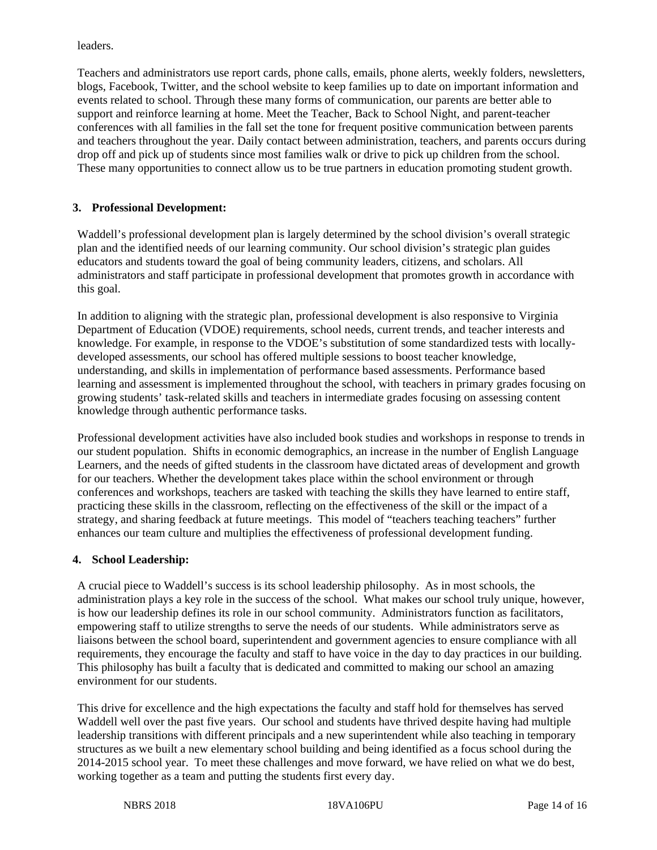leaders.

Teachers and administrators use report cards, phone calls, emails, phone alerts, weekly folders, newsletters, blogs, Facebook, Twitter, and the school website to keep families up to date on important information and events related to school. Through these many forms of communication, our parents are better able to support and reinforce learning at home. Meet the Teacher, Back to School Night, and parent-teacher conferences with all families in the fall set the tone for frequent positive communication between parents and teachers throughout the year. Daily contact between administration, teachers, and parents occurs during drop off and pick up of students since most families walk or drive to pick up children from the school. These many opportunities to connect allow us to be true partners in education promoting student growth.

## **3. Professional Development:**

Waddell's professional development plan is largely determined by the school division's overall strategic plan and the identified needs of our learning community. Our school division's strategic plan guides educators and students toward the goal of being community leaders, citizens, and scholars. All administrators and staff participate in professional development that promotes growth in accordance with this goal.

In addition to aligning with the strategic plan, professional development is also responsive to Virginia Department of Education (VDOE) requirements, school needs, current trends, and teacher interests and knowledge. For example, in response to the VDOE's substitution of some standardized tests with locallydeveloped assessments, our school has offered multiple sessions to boost teacher knowledge, understanding, and skills in implementation of performance based assessments. Performance based learning and assessment is implemented throughout the school, with teachers in primary grades focusing on growing students' task-related skills and teachers in intermediate grades focusing on assessing content knowledge through authentic performance tasks.

Professional development activities have also included book studies and workshops in response to trends in our student population. Shifts in economic demographics, an increase in the number of English Language Learners, and the needs of gifted students in the classroom have dictated areas of development and growth for our teachers. Whether the development takes place within the school environment or through conferences and workshops, teachers are tasked with teaching the skills they have learned to entire staff, practicing these skills in the classroom, reflecting on the effectiveness of the skill or the impact of a strategy, and sharing feedback at future meetings. This model of "teachers teaching teachers" further enhances our team culture and multiplies the effectiveness of professional development funding.

## **4. School Leadership:**

A crucial piece to Waddell's success is its school leadership philosophy. As in most schools, the administration plays a key role in the success of the school. What makes our school truly unique, however, is how our leadership defines its role in our school community. Administrators function as facilitators, empowering staff to utilize strengths to serve the needs of our students. While administrators serve as liaisons between the school board, superintendent and government agencies to ensure compliance with all requirements, they encourage the faculty and staff to have voice in the day to day practices in our building. This philosophy has built a faculty that is dedicated and committed to making our school an amazing environment for our students.

This drive for excellence and the high expectations the faculty and staff hold for themselves has served Waddell well over the past five years. Our school and students have thrived despite having had multiple leadership transitions with different principals and a new superintendent while also teaching in temporary structures as we built a new elementary school building and being identified as a focus school during the 2014-2015 school year. To meet these challenges and move forward, we have relied on what we do best, working together as a team and putting the students first every day.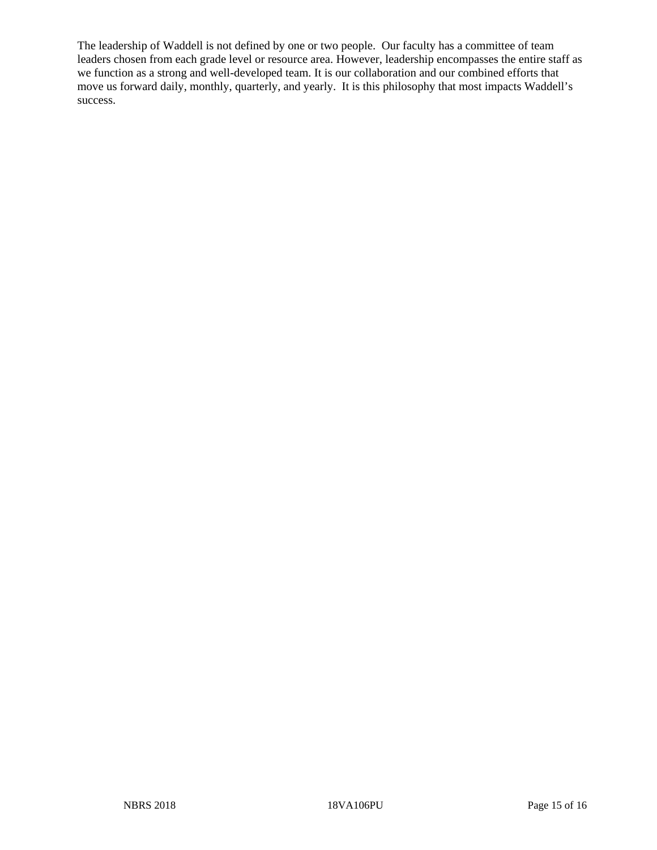The leadership of Waddell is not defined by one or two people. Our faculty has a committee of team leaders chosen from each grade level or resource area. However, leadership encompasses the entire staff as we function as a strong and well-developed team. It is our collaboration and our combined efforts that move us forward daily, monthly, quarterly, and yearly. It is this philosophy that most impacts Waddell's success.